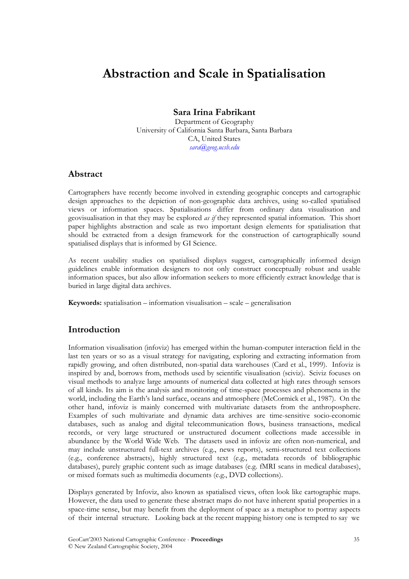# **Abstraction and Scale in Spatialisation**

# **Sara Irina Fabrikant**

Department of Geography University of California Santa Barbara, Santa Barbara CA, United States *sara@geog.ucsb.edu* 

## **Abstract**

Cartographers have recently become involved in extending geographic concepts and cartographic design approaches to the depiction of non-geographic data archives, using so-called spatialised views or information spaces. Spatialisations differ from ordinary data visualisation and geovisualisation in that they may be explored *as if* they represented spatial information. This short paper highlights abstraction and scale as two important design elements for spatialisation that should be extracted from a design framework for the construction of cartographically sound spatialised displays that is informed by GI Science.

As recent usability studies on spatialised displays suggest, cartographically informed design guidelines enable information designers to not only construct conceptually robust and usable information spaces, but also allow information seekers to more efficiently extract knowledge that is buried in large digital data archives.

**Keywords:** spatialisation – information visualisation – scale – generalisation

## **Introduction**

Information visualisation (infoviz) has emerged within the human-computer interaction field in the last ten years or so as a visual strategy for navigating, exploring and extracting information from rapidly growing, and often distributed, non-spatial data warehouses (Card et al., 1999). Infoviz is inspired by and, borrows from, methods used by scientific visualisation (sciviz). Sciviz focuses on visual methods to analyze large amounts of numerical data collected at high rates through sensors of all kinds. Its aim is the analysis and monitoring of time-space processes and phenomena in the world, including the Earth's land surface, oceans and atmosphere (McCormick et al., 1987). On the other hand, infoviz is mainly concerned with multivariate datasets from the anthroposphere. Examples of such multivariate and dynamic data archives are time-sensitive socio-economic databases, such as analog and digital telecommunication flows, business transactions, medical records, or very large structured or unstructured document collections made accessible in abundance by the World Wide Web. The datasets used in infoviz are often non-numerical, and may include unstructured full-text archives (e.g., news reports), semi-structured text collections (e.g., conference abstracts), highly structured text (e.g., metadata records of bibliographic databases), purely graphic content such as image databases (e.g. fMRI scans in medical databases), or mixed formats such as multimedia documents (e.g., DVD collections).

Displays generated by Infoviz, also known as spatialised views, often look like cartographic maps. However, the data used to generate these abstract maps do not have inherent spatial properties in a space-time sense, but may benefit from the deployment of space as a metaphor to portray aspects of their internal structure. Looking back at the recent mapping history one is tempted to say we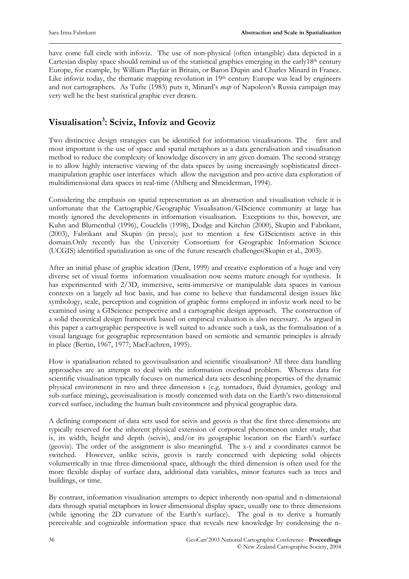have come full circle with infoviz. The use of non-physical (often intangible) data depicted in a Cartesian display space should remind us of the statistical graphics emerging in the early18th century Europe, for example, by William Playfair in Britain, or Baron Dupin and Charles Minard in France. Like infoviz today, the thematic mapping revolution in 19th century Europe was lead by engineers and not cartographers. As Tufte (1983) puts it, Minard's *map* of Napoleon's Russia campaign may very well be the best statistical graphic ever drawn.

# **Visualisation3 : Sciviz, Infoviz and Geoviz**

Two distinctive design strategies can be identified for information visualisations. The first and most important is the use of space and spatial metaphors as a data generalisation and visualisation method to reduce the complexity of knowledge discovery in any given domain. The second strategy is to allow highly interactive viewing of the data spaces by using increasingly sophisticated directmanipulation graphic user interfaces which allow the navigation and pro-active data exploration of multidimensional data spaces in real-time (Ahlberg and Shneiderman, 1994).

Considering the emphasis on spatial representation as an abstraction and visualisation vehicle it is unfortunate that the Cartographic/Geographic Visualisation/GIScience community at large has mostly ignored the developments in information visualisation. Exceptions to this, however, are Kuhn and Blumenthal (1996), Couclelis (1998), Dodge and Kitchin (2000), Skupin and Fabrikant, (2003), Fabrikant and Skupin (in press); just to mention a few GIScientists active in this domain.Only recently has the University Consortium for Geographic Information Science (UCGIS) identified spatialization as one of the future research challenges(Skupin et al., 2003).

After an initial phase of graphic ideation (Dent, 1999) and creative exploration of a huge and very diverse set of visual forms information visualisation now seems mature enough for synthesis. It has experimented with 2/3D, immersive, semi-immersive or manipulable data spaces in various contexts on a largely ad hoc basis, and has come to believe that fundamental design issues like symbology, scale, perception and cognition of graphic forms employed in infoviz work need to be examined using a GIScience perspective and a cartographic design approach. The construction of a solid theoretical design framework based on empirical evaluation is also necessary. As argued in this paper a cartographic perspective is well suited to advance such a task, as the formalisation of a visual language for geographic representation based on semiotic and semantic principles is already in place (Bertin, 1967, 1977; MacEachren, 1995).

How is spatialisation related to geovisualisation and scientific visualisation? All three data handling approaches are an attempt to deal with the information overload problem. Whereas data for scientific visualisation typically focuses on numerical data sets describing properties of the dynamic physical environment in two and three dimension s (e.g. tornadoes, fluid dynamics, geology and sub-surface mining), geovisualisation is mostly concerned with data on the Earth's two dimensional curved surface, including the human built environment and physical geographic data.

A defining component of data sets used for scivis and geovis is that the first three dimensions are typically reserved for the inherent physical extension of corporeal phenomenon under study, that is, its width, height and depth (scivis), and/or its geographic location on the Earth's surface (geovis). The order of the assignment is also meaningful. The x-y and z coordinates cannot be switched. However, unlike scivis, geovis is rarely concerned with depicting solid objects volumetrically in true three-dimensional space, although the third dimension is often used for the more flexible display of surface data, additional data variables, minor features such as trees and buildings, or time.

By contrast, information visualisation attempts to depict inherently non-spatial and n-dimensional data through spatial metaphors in lower dimensional display space, usually one to three dimensions (while ignoring the 2D curvature of the Earth's surface). The goal is to derive a humanly perceivable and cognizable information space that reveals new knowledge by condensing the n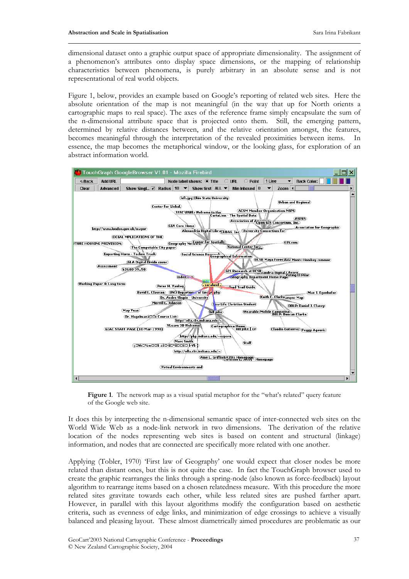dimensional dataset onto a graphic output space of appropriate dimensionality. The assignment of a phenomenon's attributes onto display space dimensions, or the mapping of relationship characteristics between phenomena, is purely arbitrary in an absolute sense and is not representational of real world objects.

Figure 1, below, provides an example based on Google's reporting of related web sites. Here the absolute orientation of the map is not meaningful (in the way that up for North orients a cartographic maps to real space). The axes of the reference frame simply encapsulate the sum of the n-dimensional attribute space that is projected onto them. Still, the emerging pattern, determined by relative distances between, and the relative orientation amongst, the features, becomes meaningful through the interpretation of the revealed proximities between items. In essence, the map becomes the metaphorical window, or the looking glass, for exploration of an abstract information world.



Figure 1. The network map as a visual spatial metaphor for the "what's related" query feature of the Google web site.

It does this by interpreting the n-dimensional semantic space of inter-connected web sites on the World Wide Web as a node-link network in two dimensions. The derivation of the relative location of the nodes representing web sites is based on content and structural (linkage) information, and nodes that are connected are specifically more related with one another.

Applying (Tobler, 1970) 'First law of Geography' one would expect that closer nodes be more related than distant ones, but this is not quite the case. In fact the TouchGraph browser used to create the graphic rearranges the links through a spring-node (also known as force-feedback) layout algorithm to rearrange items based on a chosen relatedness measure. With this procedure the more related sites gravitate towards each other, while less related sites are pushed farther apart. However, in parallel with this layout algorithms modify the configuration based on aesthetic criteria, such as evenness of edge links, and minimization of edge crossings to achieve a visually balanced and pleasing layout. These almost diametrically aimed procedures are problematic as our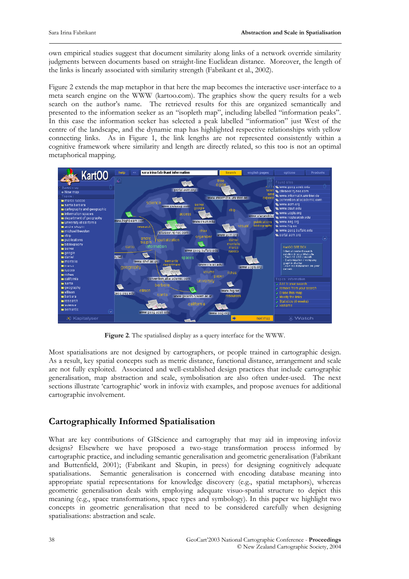own empirical studies suggest that document similarity along links of a network override similarity judgments between documents based on straight-line Euclidean distance. Moreover, the length of the links is linearly associated with similarity strength (Fabrikant et al., 2002).

Figure 2 extends the map metaphor in that here the map becomes the interactive user-interface to a meta search engine on the WWW (kartoo.com). The graphics show the query results for a web search on the author's name. The retrieved results for this are organized semantically and presented to the information seeker as an "isopleth map", including labelled "information peaks". In this case the information seeker has selected a peak labelled "information" just West of the centre of the landscape, and the dynamic map has highlighted respective relationships with yellow connecting links. As in Figure 1, the link lengths are not represented consistently within a cognitive framework where similarity and length are directly related, so this too is not an optimal metaphorical mapping.



**Figure 2**. The spatialised display as a query interface for the WWW.

Most spatialisations are not designed by cartographers, or people trained in cartographic design. As a result, key spatial concepts such as metric distance, functional distance, arrangement and scale are not fully exploited. Associated and well-established design practices that include cartographic generalisation, map abstraction and scale, symbolisation are also often under-used. The next sections illustrate 'cartographic' work in infoviz with examples, and propose avenues for additional cartographic involvement.

# **Cartographically Informed Spatialisation**

What are key contributions of GIScience and cartography that may aid in improving infoviz designs? Elsewhere we have proposed a two-stage transformation process informed by cartographic practice, and including semantic generalisation and geometric generalisation (Fabrikant and Buttenfield, 2001); (Fabrikant and Skupin, in press) for designing cognitively adequate spatialisations. Semantic generalisation is concerned with encoding database meaning into appropriate spatial representations for knowledge discovery (e.g., spatial metaphors), whereas geometric generalisation deals with employing adequate visuo-spatial structure to depict this meaning (e.g., space transformations, space types and symbology). In this paper we highlight two concepts in geometric generalisation that need to be considered carefully when designing spatialisations: abstraction and scale.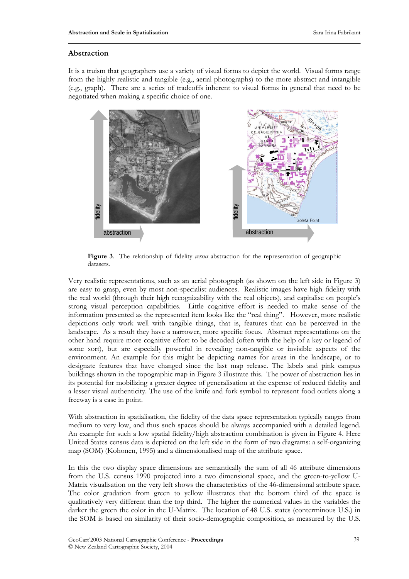#### **Abstraction**

It is a truism that geographers use a variety of visual forms to depict the world. Visual forms range from the highly realistic and tangible (e.g., aerial photographs) to the more abstract and intangible (e.g., graph). There are a series of tradeoffs inherent to visual forms in general that need to be negotiated when making a specific choice of one.



**Figure 3**. The relationship of fidelity *versus* abstraction for the representation of geographic datasets.

Very realistic representations, such as an aerial photograph (as shown on the left side in Figure 3) are easy to grasp, even by most non-specialist audiences. Realistic images have high fidelity with the real world (through their high recognizability with the real objects), and capitalise on people's strong visual perception capabilities. Little cognitive effort is needed to make sense of the information presented as the represented item looks like the "real thing". However, more realistic depictions only work well with tangible things, that is, features that can be perceived in the landscape. As a result they have a narrower, more specific focus. Abstract representations on the other hand require more cognitive effort to be decoded (often with the help of a key or legend of some sort), but are especially powerful in revealing non-tangible or invisible aspects of the environment. An example for this might be depicting names for areas in the landscape, or to designate features that have changed since the last map release. The labels and pink campus buildings shown in the topographic map in Figure 3 illustrate this. The power of abstraction lies in its potential for mobilizing a greater degree of generalisation at the expense of reduced fidelity and a lesser visual authenticity. The use of the knife and fork symbol to represent food outlets along a freeway is a case in point. The society of the endomorphic manifold and the socio-demographic composition of the sympathic process of the society relationships of the society relationships of the society relationships of the society of the endomorph

With abstraction in spatialisation, the fidelity of the data space representation typically ranges from medium to very low, and thus such spaces should be always accompanied with a detailed legend. An example for such a low spatial fidelity/high abstraction combination is given in Figure 4. Here United States census data is depicted on the left side in the form of two diagrams: a self-organizing map (SOM) (Kohonen, 1995) and a dimensionalised map of the attribute space.

In this the two display space dimensions are semantically the sum of all 46 attribute dimensions from the U.S. census 1990 projected into a two dimensional space, and the green-to-yellow U-Matrix visualisation on the very left shows the characteristics of the 46-dimensional attribute space. The color gradation from green to yellow illustrates that the bottom third of the space is qualitatively very different than the top third. The higher the numerical values in the variables the darker the green the color in the U-Matrix. The location of 48 U.S. states (conterminous U.S.) in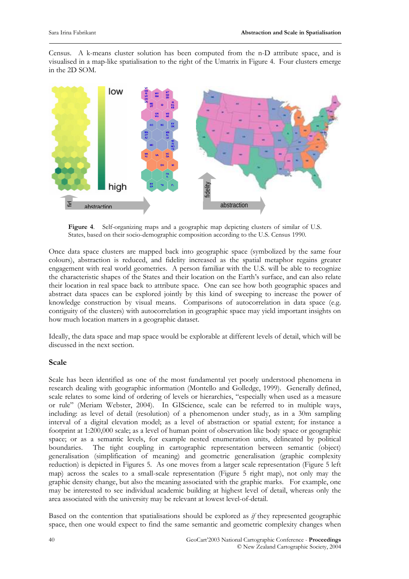Census. A k-means cluster solution has been computed from the n-D attribute space, and is visualised in a map-like spatialisation to the right of the Umatrix in Figure 4. Four clusters emerge in the 2D SOM.



**Figure 4**. Self-organizing maps and a geographic map depicting clusters of similar of U.S. States, based on their socio-demographic composition according to the U.S. Census 1990.

Once data space clusters are mapped back into geographic space (symbolized by the same four colours), abstraction is reduced, and fidelity increased as the spatial metaphor regains greater engagement with real world geometries. A person familiar with the U.S. will be able to recognize the characteristic shapes of the States and their location on the Earth's surface, and can also relate their location in real space back to attribute space. One can see how both geographic spaces and abstract data spaces can be explored jointly by this kind of sweeping to increase the power of knowledge construction by visual means. Comparisons of autocorrelation in data space (e.g. contiguity of the clusters) with autocorrelation in geographic space may yield important insights on how much location matters in a geographic dataset.

Ideally, the data space and map space would be explorable at different levels of detail, which will be discussed in the next section.

#### **Scale**

Scale has been identified as one of the most fundamental yet poorly understood phenomena in research dealing with geographic information (Montello and Golledge, 1999). Generally defined, scale relates to some kind of ordering of levels or hierarchies, "especially when used as a measure or rule" (Meriam Webster, 2004). In GIScience, scale can be referred to in multiple ways, including: as level of detail (resolution) of a phenomenon under study, as in a 30m sampling interval of a digital elevation model; as a level of abstraction or spatial extent; for instance a footprint at 1:200,000 scale; as a level of human point of observation like body space or geographic space; or as a semantic levels, for example nested enumeration units, delineated by political boundaries. The tight coupling in cartographic representation between semantic (object) generalisation (simplification of meaning) and geometric generalisation (graphic complexity reduction) is depicted in Figures 5. As one moves from a larger scale representation (Figure 5 left map) across the scales to a small-scale representation (Figure 5 right map), not only may the graphic density change, but also the meaning associated with the graphic marks. For example, one may be interested to see individual academic building at highest level of detail, whereas only the area associated with the university may be relevant at lowest level-of-detail.

Based on the contention that spatialisations should be explored as *if* they represented geographic space, then one would expect to find the same semantic and geometric complexity changes when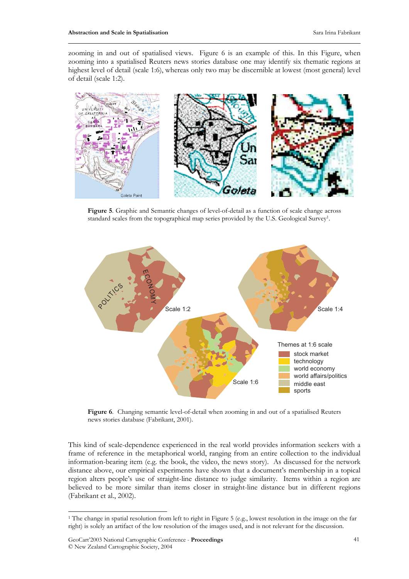zooming in and out of spatialised views. Figure 6 is an example of this. In this Figure, when zooming into a spatialised Reuters news stories database one may identify six thematic regions at highest level of detail (scale 1:6), whereas only two may be discernible at lowest (most general) level of detail (scale 1:2).



**Figure 5**. Graphic and Semantic changes of level-of-detail as a function of scale change across standard scales from the topographical map series provided by the U.S. Geological Survey1.



Figure 6. Changing semantic level-of-detail when zooming in and out of a spatialised Reuters news stories database (Fabrikant, 2001).

This kind of scale-dependence experienced in the real world provides information seekers with a frame of reference in the metaphorical world, ranging from an entire collection to the individual information-bearing item (e.g. the book, the video, the news story). As discussed for the network distance above, our empirical experiments have shown that a document's membership in a topical region alters people's use of straight-line distance to judge similarity. Items within a region are believed to be more similar than items closer in straight-line distance but in different regions (Fabrikant et al., 2002).

-

<sup>1</sup> The change in spatial resolution from left to right in Figure 5 (e.g., lowest resolution in the image on the far right) is solely an artifact of the low resolution of the images used, and is not relevant for the discussion.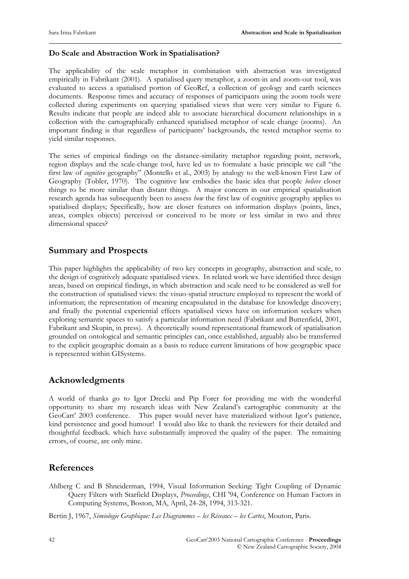#### **Do Scale and Abstraction Work in Spatialisation?**

The applicability of the scale metaphor in combination with abstraction was investigated empirically in Fabrikant (2001). A spatialised query metaphor, a zoom-in and zoom-out tool, was evaluated to access a spatialised portion of GeoRef, a collection of geology and earth sciences documents. Response times and accuracy of responses of participants using the zoom tools were collected during experiments on querying spatialised views that were very similar to Figure 6. Results indicate that people are indeed able to associate hierarchical document relationships in a collection with the cartographically enhanced spatialised metaphor of scale change (zooms). An important finding is that regardless of participants' backgrounds, the tested metaphor seems to yield similar responses.

The series of empirical findings on the distance-similarity metaphor regarding point, network, region displays and the scale-change tool, have led us to formulate a basic principle we call "the first law of *cognitive* geography" (Montello et al., 2003) by analogy to the well-known First Law of Geography (Tobler, 1970). The cognitive law embodies the basic idea that people *believe* closer things to be more similar than distant things. A major concern in our empirical spatialisation research agenda has subsequently been to assess *how* the first law of cognitive geography applies to spatialised displays; Specifically, how are closer features on information displays (points, lines, areas, complex objects) perceived or conceived to be more or less similar in two and three dimensional spaces?

## **Summary and Prospects**

This paper highlights the applicability of two key concepts in geography, abstraction and scale, to the design of cognitively adequate spatialised views. In related work we have identified three design areas, based on empirical findings, in which abstraction and scale need to be considered as well for the construction of spatialised views: the visuo-spatial structure employed to represent the world of information; the representation of meaning encapsulated in the database for knowledge discovery; and finally the potential experiential effects spatialised views have on information seekers when exploring semantic spaces to satisfy a particular information need (Fabrikant and Buttenfield, 2001, Fabrikant and Skupin, in press). A theoretically sound representational framework of spatialisation grounded on ontological and semantic principles can, once established, arguably also be transferred to the explicit geographic domain as a basis to reduce current limitations of how geographic space is represented within GISystems.

#### **Acknowledgments**

A world of thanks go to Igor Drecki and Pip Forer for providing me with the wonderful opportunity to share my research ideas with New Zealand's cartographic community at the GeoCart' 2003 conference. This paper would never have materialized without Igor's patience, kind persistence and good humour! I would also like to thank the reviewers for their detailed and thoughtful feedback. which have substantially improved the quality of the paper. The remaining errors, of course, are only mine.

#### **References**

Ahlberg C and B Shneiderman, 1994, Visual Information Seeking: Tight Coupling of Dynamic Query Filters with Starfield Displays, *Proceedings*, CHI '94, Conference on Human Factors in Computing Systems, Boston, MA, April, 24-28, 1994, 313-321.

Bertin J, 1967, *Sémiologie Graphique: Les Diagrammes – les Réseaux – les Cartes*, Mouton, Paris.